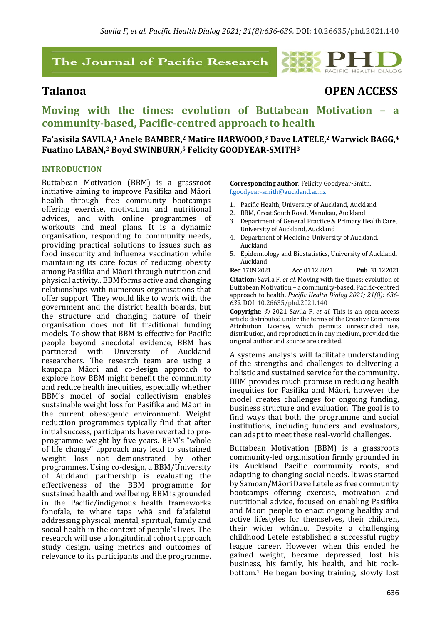## The Journal of Pacific Research

## **Talanoa OPEN ACCESS**

PACIFIC HEALTH DIALOG

# **Moving with the times: evolution of Buttabean Motivation - a community-based, Pacific-centred approach to health**

### **Fa'asisila SAVILA,1 Anele BAMBER,2 Matire HARWOOD,3 Dave LATELE,2 Warwick BAGG,4 Fuatino LABAN, <sup>2</sup> Boyd SWINBURN, <sup>5</sup> Felicity GOODYEAR-SMITH3**

#### **INTRODUCTION**

Buttabean Motivation (BBM) is a grassroot initiative aiming to improve Pasifika and Māori health through free community bootcamps offering exercise, motivation and nutritional advices, and with online programmes of workouts and meal plans. It is a dynamic organisation, responding to community needs, providing practical solutions to issues such as food insecurity and influenza vaccination while maintaining its core focus of reducing obesity among Pasifika and Māori through nutrition and physical activity.. BBM forms active and changing relationships with numerous organisations that offer support. They would like to work with the government and the district health boards, but the structure and changing nature of their organisation does not fit traditional funding models. To show that BBM is effective for Pacific people beyond anecdotal evidence, BBM has partnered with University of Auckland researchers. The research team are using a kaupapa Māori and co-design approach to explore how BBM might benefit the community and reduce health inequities, especially whether BBM's model of social collectivism enables sustainable weight loss for Pasifika and Māori in the current obesogenic environment. Weight reduction programmes typically find that after initial success, participants have reverted to preprogramme weight by five years. BBM's "whole of life change" approach may lead to sustained weight loss not demonstrated by other programmes. Using co-design, a BBM/University of Auckland partnership is evaluating the effectiveness of the BBM programme for sustained health and wellbeing. BBM is grounded in the Pacific/indigenous health frameworks fonofale, te whare tapa whā and fa'afaletui addressing physical, mental, spiritual, family and social health in the context of people's lives. The research will use a longitudinal cohort approach study design, using metrics and outcomes of relevance to its participants and the programme.

#### **Corresponding author:** Felicity Goodyear-Smith, f.goodyear-smith@auckland.ac.nz

- 1. Pacific Health, University of Auckland, Auckland
- 2. BBM, Great South Road, Manukau, Auckland
- 3. Department of General Practice & Primary Health Care, University of Auckland, Auckland
- 4. Department of Medicine, University of Auckland, Auckland
- 5. Epidemiology and Biostatistics, University of Auckland, Auckland

**Rec**: 17.09.2021 **Acc**: 01.12.2021 **Pub**: 31.12.2021 **Citation:** Savila F, *et al.* Moving with the times: evolution of Buttabean Motivation - a community-based, Pacific-centred approach to health. *Pacific Health Dialog 2021; 21(8): 636-639.* DOI: 10.26635/phd.2021.140

**Copyright:** © 2021 Savila F, *et al.* This is an open-access article distributed under the terms of the Creative Commons Attribution License, which permits unrestricted use, distribution, and reproduction in any medium, provided the original author and source are credited.

A systems analysis will facilitate understanding of the strengths and challenges to delivering a holistic and sustained service for the community. BBM provides much promise in reducing health inequities for Pasifika and Māori, however the model creates challenges for ongoing funding, business structure and evaluation. The goal is to find ways that both the programme and social institutions, including funders and evaluators, can adapt to meet these real-world challenges.

Buttabean Motivation (BBM) is a grassroots community-led organisation firmly grounded in its Auckland Pacific community roots, and adapting to changing social needs. It was started by Samoan/Māori Dave Letele as free community bootcamps offering exercise, motivation and nutritional advice, focused on enabling Pasifika and Māori people to enact ongoing healthy and active lifestyles for themselves, their children, their wider whānau. Despite a challenging childhood Letele established a successful rugby league career. However when this ended he gained weight, became depressed, lost his business, his family, his health, and hit rockbottom.<sup>1</sup> He began boxing training, slowly lost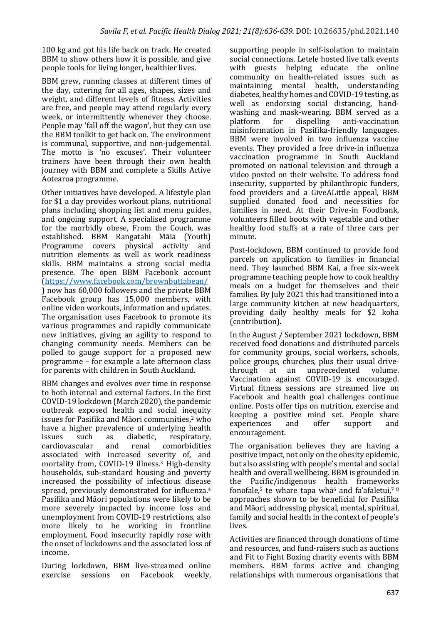100 kg and got his life back on track. He created BBM to show others how it is possible, and give people tools for living longer, healthier lives.

BBM grew, running classes at different times of the day, catering for all ages, shapes, sizes and weight, and different levels of fitness. Activities are free, and people may attend regularly every week, or intermittently whenever they choose. People may 'fall off the wagon', but they can use the BBM toolkit to get back on. The environment is communal, supportive, and non-judgemental. The motto is 'no excuses'. Their volunteer trainers have been through their own health journey with BBM and complete a Skills Active Aotearoa programme. 

Other initiatives have developed. A lifestyle plan for \$1 a day provides workout plans, nutritional plans including shopping list and menu guides, and ongoing support. A specialised programme for the morbidly obese, From the Couch, was established. BBM Rangatahi Māia (Youth) Programme covers physical activity and nutrition elements as well as work readiness skills. BBM maintains a strong social media presence. The open BBM Facebook account (https://www.facebook.com/brownbuttabean/ ) now has 60,000 followers and the private BBM Facebook group has 15,000 members, with online video workouts, information and updates. The organisation uses Facebook to promote its various programmes and rapidly communicate new initiatives, giving an agility to respond to changing community needs. Members can be polled to gauge support for a proposed new programme – for example a late afternoon class for parents with children in South Auckland.

BBM changes and evolves over time in response to both internal and external factors. In the first COVID-19 lockdown (March 2020), the pandemic outbreak exposed health and social inequity issues for Pasifika and Māori communities.<sup>2</sup> who have a higher prevalence of underlying health issues such as diabetic, respiratory, cardiovascular and renal comorbidities associated with increased severity of, and mortality from, COVID-19 illness.<sup>3</sup> High-density households, sub-standard housing and poverty increased the possibility of infectious disease spread, previously demonstrated for influenza.<sup>4</sup> Pasifika and Māori populations were likely to be more severely impacted by income loss and unemployment from COVID-19 restrictions, also more likely to be working in frontline employment. Food insecurity rapidly rose with the onset of lockdowns and the associated loss of income.

During lockdown, BBM live-streamed online exercise sessions on Facebook weekly,

supporting people in self-isolation to maintain social connections. Letele hosted live talk events with guests helping educate the online community on health-related issues such as maintaining mental health, understanding diabetes, healthy homes and COVID-19 testing, as well as endorsing social distancing, handwashing and mask-wearing. BBM served as a platform for dispelling anti-vaccination misinformation in Pasifika-friendly languages. BBM were involved in two influenza vaccine events. They provided a free drive-in influenza vaccination programme in South Auckland promoted on national television and through a video posted on their website. To address food insecurity, supported by philanthropic funders, food providers and a GiveALittle appeal, BBM supplied donated food and necessities for families in need. At their Drive-in Foodbank, volunteers filled boots with vegetable and other healthy food stuffs at a rate of three cars per minute. 

Post-lockdown, BBM continued to provide food parcels on application to families in financial need. They launched BBM Kai, a free six-week programme teaching people how to cook healthy meals on a budget for themselves and their families. By July 2021 this had transitioned into a large community kitchen at new headquarters, providing daily healthy meals for \$2 koha (contribution). 

In the August / September 2021 lockdown, BBM received food donations and distributed parcels for community groups, social workers, schools, police groups, churches, plus their usual drivethrough at an unprecedented volume. Vaccination against COVID-19 is encouraged. Virtual fitness sessions are streamed live on Facebook and health goal challenges continue online. Posts offer tips on nutrition, exercise and keeping a positive mind set. People share experiences and offer support and encouragement.

The organisation believes they are having a positive impact, not only on the obesity epidemic, but also assisting with people's mental and social health and overall wellbeing. BBM is grounded in the Pacific/indigenous health frameworks fonofale,<sup>5</sup> te whare tapa whā<sup>6</sup> and fa'afaletui,<sup>7</sup> 8</sup> approaches shown to be beneficial for Pasifika and Māori, addressing physical, mental, spiritual, family and social health in the context of people's lives.

Activities are financed through donations of time and resources, and fund-raisers such as auctions and Fit to Fight Boxing charity events with BBM members. BBM forms active and changing relationships with numerous organisations that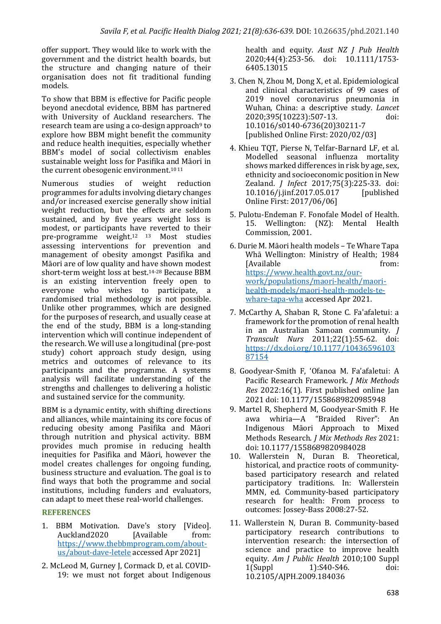offer support. They would like to work with the government and the district health boards, but the structure and changing nature of their organisation does not fit traditional funding models.

To show that BBM is effective for Pacific people beyond anecdotal evidence, BBM has partnered with University of Auckland researchers. The research team are using a co-design approach<sup>9</sup> to explore how BBM might benefit the community and reduce health inequities, especially whether BBM's model of social collectivism enables sustainable weight loss for Pasifika and Māori in the current obesogenic environment.<sup>1011</sup>

Numerous studies of weight reduction programmes for adults involving dietary changes and/or increased exercise generally show initial weight reduction, but the effects are seldom sustained, and by five years weight loss is modest, or participants have reverted to their pre-programme weight.<sup>12</sup> <sup>13</sup> Most studies assessing interventions for prevention and management of obesity amongst Pasifika and Māori are of low quality and have shown modest short-term weight loss at best.<sup>14-28</sup> Because BBM is an existing intervention freely open to everyone who wishes to participate, a randomised trial methodology is not possible. Unlike other programmes, which are designed for the purposes of research, and usually cease at the end of the study, BBM is a long-standing intervention which will continue independent of the research. We will use a longitudinal (pre-post study) cohort approach study design, using metrics and outcomes of relevance to its participants and the programme. A systems analysis will facilitate understanding of the strengths and challenges to delivering a holistic and sustained service for the community.

BBM is a dynamic entity, with shifting directions and alliances, while maintaining its core focus of reducing obesity among Pasifika and Māori through nutrition and physical activity. BBM provides much promise in reducing health inequities for Pasifika and Māori, however the model creates challenges for ongoing funding. business structure and evaluation. The goal is to find ways that both the programme and social institutions, including funders and evaluators, can adapt to meet these real-world challenges.

#### **REFERENCES**

- 1. BBM Motivation. Dave's story [Video].<br>Auckland2020 [Available from: Auckland2020 [Available from: https://www.thebbmprogram.com/aboutus/about-dave-letele accessed Apr 2021]
- 2. McLeod M. Gurney I. Cormack D. et al. COVID-19: we must not forget about Indigenous

health and equity. Aust NZ J Pub Health 2020;44(4):253-56. doi: 10.1111/1753- 6405.13015

- 3. Chen N, Zhou M, Dong X, et al. Epidemiological and clinical characteristics of 99 cases of 2019 novel coronavirus pneumonia in Wuhan, China: a descriptive study. *Lancet* 2020;395(10223):507-13. doi: 10.1016/s0140-6736(20)30211-7 [published Online First: 2020/02/03]
- 4. Khieu TOT, Pierse N, Telfar-Barnard LF, et al. Modelled seasonal influenza mortality shows marked differences in risk by age, sex, ethnicity and socioeconomic position in New Zealand. *J Infect* 2017;75(3):225-33. doi: 10.1016/j.jinf.2017.05.017 [published Online First: 2017/06/06]
- 5. Pulotu-Endeman F. Fonofale Model of Health. 15. Wellington: (NZ): Mental Health Commission, 2001.
- 6. Durie M. Māori health models – Te Whare Tapa Whā Wellington: Ministry of Health; 1984 [Available from: https://www.health.govt.nz/ourwork/populations/maori-health/maorihealth-models/maori-health-models-tewhare-tapa-wha accessed Apr 2021.
- 7. McCarthy A, Shaban R, Stone C. Fa'afaletui: a framework for the promotion of renal health in an Australian Samoan community. *J Transcult Nurs* 2011;22(1):55-62. doi: https://dx.doi.org/10.1177/10436596103 87154
- 8. Goodyear-Smith F, 'Ofanoa M. Fa'afaletui: A Pacific Research Framework. *J Mix Methods* Res 2022:16(1). First published online Jan 2021 doi: 10.1177/1558689820985948
- 9. Martel R, Shepherd M, Goodyear-Smith F. He awa whiria—A "Braided River": An Indigenous Māori Approach to Mixed Methods Research. *J Mix Methods Res* 2021: doi: 10.1177/1558689820984028
- 10. Wallerstein N, Duran B. Theoretical, historical, and practice roots of communitybased participatory research and related participatory traditions. In: Wallerstein MMN, ed. Community-based participatory research for health: From process to outcomes: Jossey-Bass 2008:27-52.
- 11. Wallerstein N, Duran B. Community-based participatory research contributions to intervention research: the intersection of science and practice to improve health equity. *Am J Public Health* 2010;100 Suppl 1(Suppl 1):S40-S46. doi: 10.2105/AJPH.2009.184036